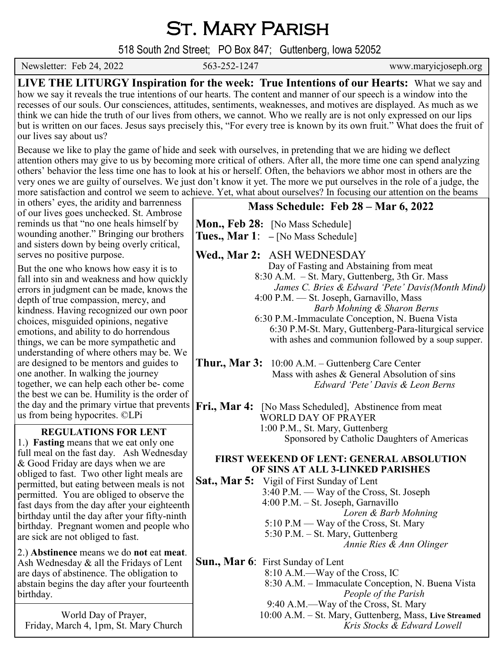# St. Mary Parish

518 South 2nd Street; PO Box 847; Guttenberg, Iowa 52052

Newsletter: Feb 24, 2022 563-252-1247 www.maryicjoseph.org

**LIVE THE LITURGY Inspiration for the week: True Intentions of our Hearts:** What we say and how we say it reveals the true intentions of our hearts. The content and manner of our speech is a window into the recesses of our souls. Our consciences, attitudes, sentiments, weaknesses, and motives are displayed. As much as we think we can hide the truth of our lives from others, we cannot. Who we really are is not only expressed on our lips but is written on our faces. Jesus says precisely this, "For every tree is known by its own fruit." What does the fruit of our lives say about us?

Because we like to play the game of hide and seek with ourselves, in pretending that we are hiding we deflect attention others may give to us by becoming more critical of others. After all, the more time one can spend analyzing others' behavior the less time one has to look at his or herself. Often, the behaviors we abhor most in others are the very ones we are guilty of ourselves. We just don't know it yet. The more we put ourselves in the role of a judge, the more satisfaction and control we seem to achieve. Yet, what about ourselves? In focusing our attention on the beams

in others' eyes, the aridity and barrenness of our lives goes unchecked. St. Ambrose reminds us that "no one heals himself by wounding another." Bringing our brothers and sisters down by being overly critical, serves no positive purpose.

But the one who knows how easy it is to fall into sin and weakness and how quickly errors in judgment can be made, knows the depth of true compassion, mercy, and kindness. Having recognized our own poor choices, misguided opinions, negative emotions, and ability to do horrendous things, we can be more sympathetic and understanding of where others may be. We are designed to be mentors and guides to one another. In walking the journey together, we can help each other be- come the best we can be. Humility is the order of the day and the primary virtue that prevents us from being hypocrites. ©LPi

### **REGULATIONS FOR LENT**

1.) **Fasting** means that we eat only one full meal on the fast day. Ash Wednesday & Good Friday are days when we are obliged to fast. Two other light meals are permitted, but eating between meals is not permitted. You are obliged to observe the fast days from the day after your eighteenth birthday until the day after your fifty-ninth birthday. Pregnant women and people who are sick are not obliged to fast.

2.) **Abstinence** means we do **not** eat **meat**. Ash Wednesday & all the Fridays of Lent are days of abstinence. The obligation to abstain begins the day after your fourteenth birthday.

World Day of Prayer, Friday, March 4, 1pm, St. Mary Church

## **Mass Schedule: Feb 28 – Mar 6, 2022**

**Mon., Feb 28:** [No Mass Schedule] **Tues., Mar 1**: **–** [No Mass Schedule]

**Wed., Mar 2:** ASH WEDNESDAY

 Day of Fasting and Abstaining from meat 8:30 A.M. – St. Mary, Guttenberg, 3th Gr. Mass *James C. Bries & Edward 'Pete' Davis(Month Mind)* 4:00 P.M. — St. Joseph, Garnavillo, Mass

*Barb Mohning & Sharon Berns* 6:30 P.M.-Immaculate Conception, N. Buena Vista 6:30 P.M-St. Mary, Guttenberg-Para-liturgical service with ashes and communion followed by a soup supper.

**Thur., Mar 3:** 10:00 A.M. – Guttenberg Care Center Mass with ashes & General Absolution of sins *Edward 'Pete' Davis & Leon Berns*

Fri., Mar 4: [No Mass Scheduled], Abstinence from meat WORLD DAY OF PRAYER 1:00 P.M., St. Mary, Guttenberg Sponsored by Catholic Daughters of Americas

### **FIRST WEEKEND OF LENT: GENERAL ABSOLUTION OF SINS AT ALL 3-LINKED PARISHES**

**Sat., Mar 5:** Vigil of First Sunday of Lent 3:40 P.M. — Way of the Cross, St. Joseph 4:00 P.M. – St. Joseph, Garnavillo *Loren & Barb Mohning* 5:10 P.M — Way of the Cross, St. Mary 5:30 P.M. – St. Mary, Guttenberg *Annie Ries & Ann Olinger*

**Sun., Mar 6**: First Sunday of Lent 8:10 A.M.—Way of the Cross, IC 8:30 A.M. – Immaculate Conception, N. Buena Vista *People of the Parish* 9:40 A.M.—Way of the Cross, St. Mary 10:00 A.M. – St. Mary, Guttenberg, Mass, **Live Streamed** *Kris Stocks & Edward Lowell*